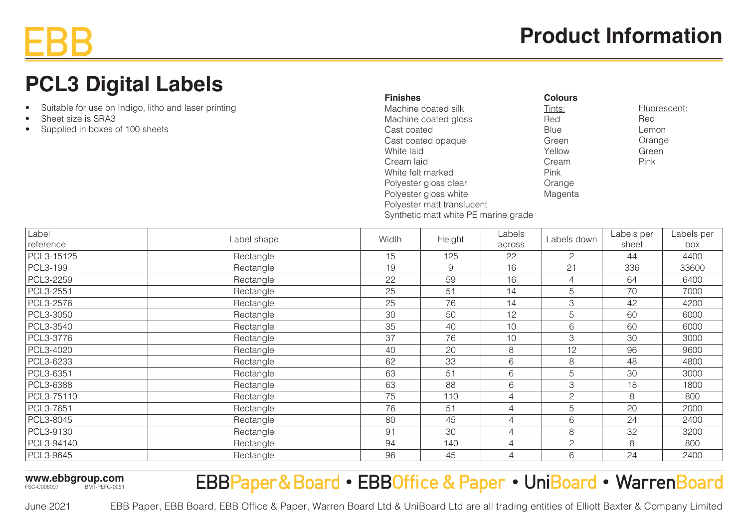# **Product Information**

# **PCL3 Digital Labels**

- Suitable for use on Indigo, litho and laser printing
- Sheet size is SRA3
- Supplied in boxes of 100 sheets

| <b>Finishes</b>                      | <b>Colours</b> |              |
|--------------------------------------|----------------|--------------|
| Machine coated silk                  | Tints:         | Fluorescent: |
| Machine coated gloss                 | Red            | Red          |
| Cast coated                          | <b>Blue</b>    | Lemon        |
| Cast coated opaque                   | Green          | Orange       |
| White laid                           | Yellow         | Green        |
| Cream laid                           | Cream          | Pink         |
| White felt marked                    | <b>Pink</b>    |              |
| Polyester gloss clear                | Orange         |              |
| Polyester gloss white                | Magenta        |              |
| Polyester matt translucent           |                |              |
| Synthetic matt white PE marine grade |                |              |

| Label      | Label shape | Width | Labels<br>Height<br>across |                | Labels down    | Labels per | Labels per |
|------------|-------------|-------|----------------------------|----------------|----------------|------------|------------|
| reference  |             |       |                            |                |                | sheet      | box        |
| PCL3-15125 | Rectangle   | 15    | 125                        | 22             | 2              | 44         | 4400       |
| PCL3-199   | Rectangle   | 19    | 9                          | 16             | 21             | 336        | 33600      |
| PCL3-2259  | Rectangle   | 22    | 59                         | 16             | $\overline{4}$ | 64         | 6400       |
| PCL3-2551  | Rectangle   | 25    | 51                         | 14             | 5              | 70         | 7000       |
| PCL3-2576  | Rectangle   | 25    | 76                         | 14             | 3              | 42         | 4200       |
| PCL3-3050  | Rectangle   | 30    | 50                         | 12             | 5              | 60         | 6000       |
| PCL3-3540  | Rectangle   | 35    | 40                         | 10             | 6              | 60         | 6000       |
| PCL3-3776  | Rectangle   | 37    | 76                         | 10             | 3              | 30         | 3000       |
| PCL3-4020  | Rectangle   | 40    | 20                         | 8              | 12             | 96         | 9600       |
| PCL3-6233  | Rectangle   | 62    | 33                         | 6              | 8              | 48         | 4800       |
| PCL3-6351  | Rectangle   | 63    | 51                         | 6              | 5              | 30         | 3000       |
| PCL3-6388  | Rectangle   | 63    | 88                         | 6              | 3              | 18         | 1800       |
| PCL3-75110 | Rectangle   | 75    | 110                        | 4              | $\overline{2}$ | 8          | 800        |
| PCL3-7651  | Rectangle   | 76    | 51                         | $\overline{4}$ | 5              | 20         | 2000       |
| PCL3-8045  | Rectangle   | 80    | 45                         | 4              | 6              | 24         | 2400       |
| PCL3-9130  | Rectangle   | 91    | 30                         | 4              | 8              | 32         | 3200       |
| PCL3-94140 | Rectangle   | 94    | 140                        | 4              | $\overline{c}$ | 8          | 800        |
| PCL3-9645  | Rectangle   | 96    | 45                         | $\overline{4}$ | 6              | 24         | 2400       |

**www.ebbgroup.com** FSC-C008007 BMT-PEFC-0251

## EBBPaper&Board • EBBOffice & Paper • UniBoard • WarrenBoard

EBB Paper, EBB Board, EBB Office & Paper, Warren Board Ltd & UniBoard Ltd are all trading entities of Elliott Baxter & Company Limited June 2021